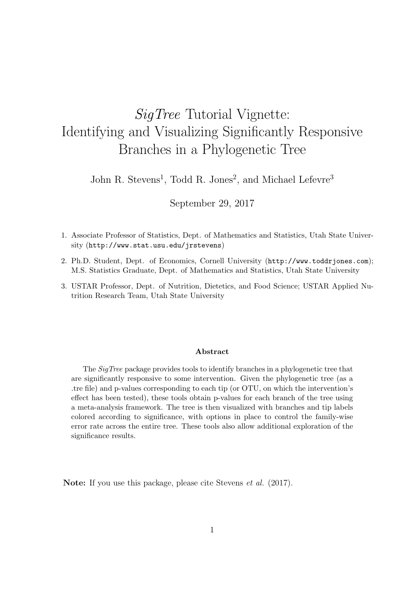# SigTree Tutorial Vignette: Identifying and Visualizing Significantly Responsive Branches in a Phylogenetic Tree

John R. Stevens<sup>1</sup>, Todd R. Jones<sup>2</sup>, and Michael Lefevre<sup>3</sup>

## September 29, 2017

- 1. Associate Professor of Statistics, Dept. of Mathematics and Statistics, Utah State University (http://www.stat.usu.edu/jrstevens)
- 2. Ph.D. Student, Dept. of Economics, Cornell University (http://www.toddrjones.com); M.S. Statistics Graduate, Dept. of Mathematics and Statistics, Utah State University
- 3. USTAR Professor, Dept. of Nutrition, Dietetics, and Food Science; USTAR Applied Nutrition Research Team, Utah State University

#### Abstract

The SigTree package provides tools to identify branches in a phylogenetic tree that are significantly responsive to some intervention. Given the phylogenetic tree (as a .tre file) and p-values corresponding to each tip (or OTU, on which the intervention's effect has been tested), these tools obtain p-values for each branch of the tree using a meta-analysis framework. The tree is then visualized with branches and tip labels colored according to significance, with options in place to control the family-wise error rate across the entire tree. These tools also allow additional exploration of the significance results.

Note: If you use this package, please cite Stevens *et al.* (2017).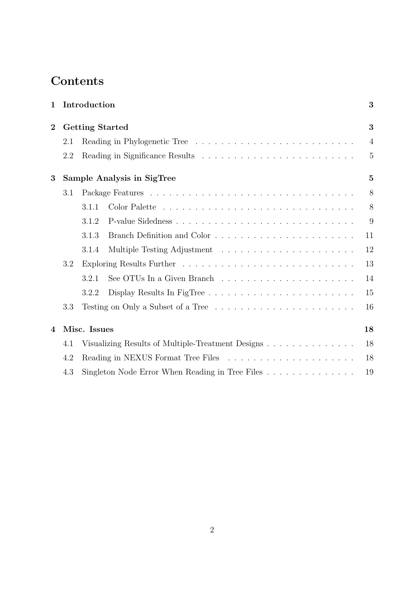# Contents

| $\mathbf 1$                            |                        | Introduction                                      |                |  |  |  |  |
|----------------------------------------|------------------------|---------------------------------------------------|----------------|--|--|--|--|
| $\overline{2}$                         | <b>Getting Started</b> | 3                                                 |                |  |  |  |  |
|                                        | 2.1                    |                                                   | $\overline{4}$ |  |  |  |  |
|                                        | 2.2                    |                                                   | $\overline{5}$ |  |  |  |  |
| $\bf{3}$<br>Sample Analysis in SigTree |                        |                                                   |                |  |  |  |  |
|                                        | 3.1                    |                                                   | 8              |  |  |  |  |
|                                        |                        | 3.1.1                                             | 8              |  |  |  |  |
|                                        |                        | 3.1.2                                             | 9              |  |  |  |  |
|                                        |                        | 3.1.3                                             | 11             |  |  |  |  |
|                                        |                        | 3.1.4                                             | 12             |  |  |  |  |
|                                        | 3.2                    |                                                   | 13             |  |  |  |  |
|                                        |                        | 3.2.1                                             | 14             |  |  |  |  |
|                                        |                        | 3.2.2                                             | 15             |  |  |  |  |
| 3.3                                    |                        |                                                   | 16             |  |  |  |  |
| 4                                      |                        | Misc. Issues                                      |                |  |  |  |  |
|                                        | 4.1                    | Visualizing Results of Multiple-Treatment Designs | 18             |  |  |  |  |
|                                        | 4.2                    |                                                   |                |  |  |  |  |
|                                        | 4.3                    |                                                   | 19             |  |  |  |  |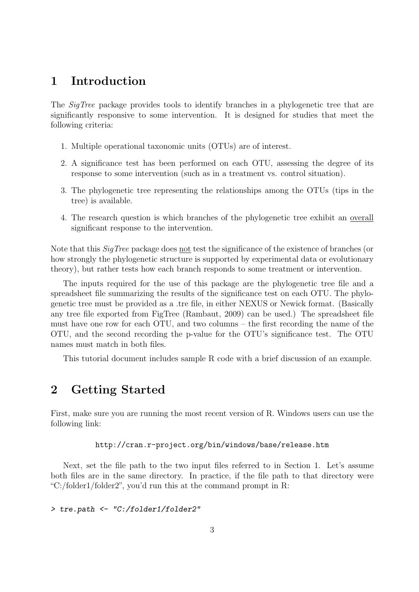## 1 Introduction

The *SigTree* package provides tools to identify branches in a phylogenetic tree that are significantly responsive to some intervention. It is designed for studies that meet the following criteria:

- 1. Multiple operational taxonomic units (OTUs) are of interest.
- 2. A significance test has been performed on each OTU, assessing the degree of its response to some intervention (such as in a treatment vs. control situation).
- 3. The phylogenetic tree representing the relationships among the OTUs (tips in the tree) is available.
- 4. The research question is which branches of the phylogenetic tree exhibit an overall significant response to the intervention.

Note that this SigTree package does not test the significance of the existence of branches (or how strongly the phylogenetic structure is supported by experimental data or evolutionary theory), but rather tests how each branch responds to some treatment or intervention.

The inputs required for the use of this package are the phylogenetic tree file and a spreadsheet file summarizing the results of the significance test on each OTU. The phylogenetic tree must be provided as a .tre file, in either NEXUS or Newick format. (Basically any tree file exported from FigTree (Rambaut, 2009) can be used.) The spreadsheet file must have one row for each OTU, and two columns – the first recording the name of the OTU, and the second recording the p-value for the OTU's significance test. The OTU names must match in both files.

This tutorial document includes sample R code with a brief discussion of an example.

## 2 Getting Started

First, make sure you are running the most recent version of R. Windows users can use the following link:

#### http://cran.r-project.org/bin/windows/base/release.htm

Next, set the file path to the two input files referred to in Section 1. Let's assume both files are in the same directory. In practice, if the file path to that directory were "C:/folder1/folder2", you'd run this at the command prompt in R:

> tre.path <- "C:/folder1/folder2"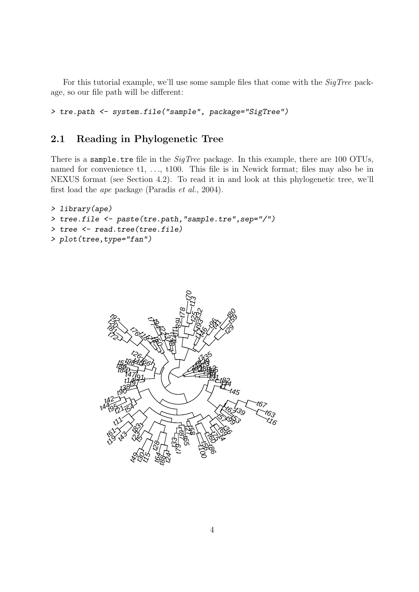For this tutorial example, we'll use some sample files that come with the SigTree package, so our file path will be different:

> tre.path <- system.file("sample", package="SigTree")

## 2.1 Reading in Phylogenetic Tree

There is a sample.tre file in the  $SigTree$  package. In this example, there are 100 OTUs, named for convenience t1, ..., t100. This file is in Newick format; files may also be in NEXUS format (see Section 4.2). To read it in and look at this phylogenetic tree, we'll first load the ape package (Paradis et al., 2004).

```
> library(ape)
> tree.file <- paste(tre.path,"sample.tre",sep="/")
> tree <- read.tree(tree.file)
> plot(tree,type="fan")
```
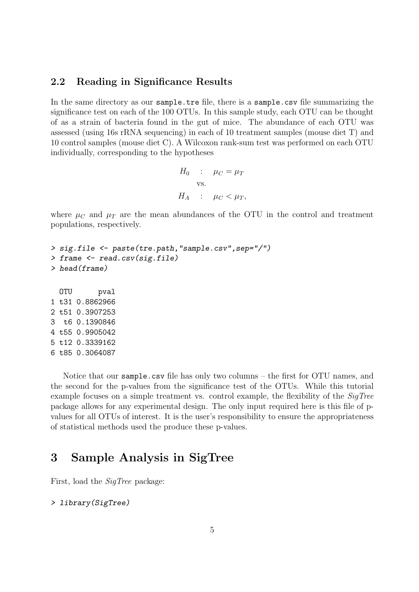### 2.2 Reading in Significance Results

In the same directory as our sample.tre file, there is a sample.csv file summarizing the significance test on each of the 100 OTUs. In this sample study, each OTU can be thought of as a strain of bacteria found in the gut of mice. The abundance of each OTU was assessed (using 16s rRNA sequencing) in each of 10 treatment samples (mouse diet T) and 10 control samples (mouse diet C). A Wilcoxon rank-sum test was performed on each OTU individually, corresponding to the hypotheses

```
H_0 : \mu_C = \mu_Tvs.
H_A : \mu_C < \mu_T,
```
where  $\mu_C$  and  $\mu_T$  are the mean abundances of the OTU in the control and treatment populations, respectively.

```
> sig.file <- paste(tre.path,"sample.csv",sep="/")
> frame <- read.csv(sig.file)
> head(frame)
  OTU pval
1 t31 0.8862966
2 t51 0.3907253
3 t6 0.1390846
```
4 t55 0.9905042 5 t12 0.3339162 6 t85 0.3064087

Notice that our sample.csv file has only two columns – the first for OTU names, and the second for the p-values from the significance test of the OTUs. While this tutorial example focuses on a simple treatment vs. control example, the flexibility of the SigTree package allows for any experimental design. The only input required here is this file of pvalues for all OTUs of interest. It is the user's responsibility to ensure the appropriateness of statistical methods used the produce these p-values.

## 3 Sample Analysis in SigTree

First, load the SigTree package:

```
> library(SigTree)
```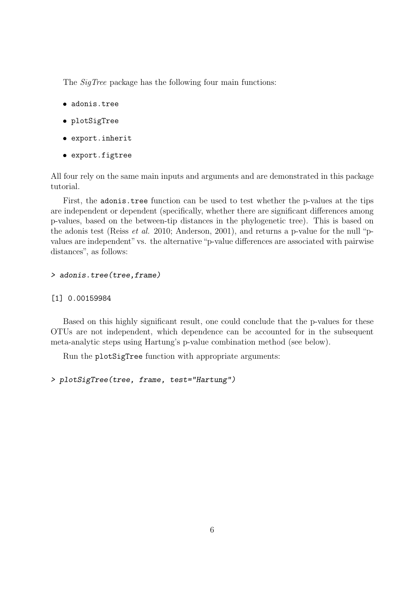The *SigTree* package has the following four main functions:

- adonis.tree
- plotSigTree
- export.inherit
- export.figtree

All four rely on the same main inputs and arguments and are demonstrated in this package tutorial.

First, the adonis.tree function can be used to test whether the p-values at the tips are independent or dependent (specifically, whether there are significant differences among p-values, based on the between-tip distances in the phylogenetic tree). This is based on the adonis test (Reiss et al. 2010; Anderson, 2001), and returns a p-value for the null "pvalues are independent" vs. the alternative "p-value differences are associated with pairwise distances", as follows:

#### > adonis.tree(tree,frame)

#### [1] 0.00159984

Based on this highly significant result, one could conclude that the p-values for these OTUs are not independent, which dependence can be accounted for in the subsequent meta-analytic steps using Hartung's p-value combination method (see below).

Run the plotSigTree function with appropriate arguments:

```
> plotSigTree(tree, frame, test="Hartung")
```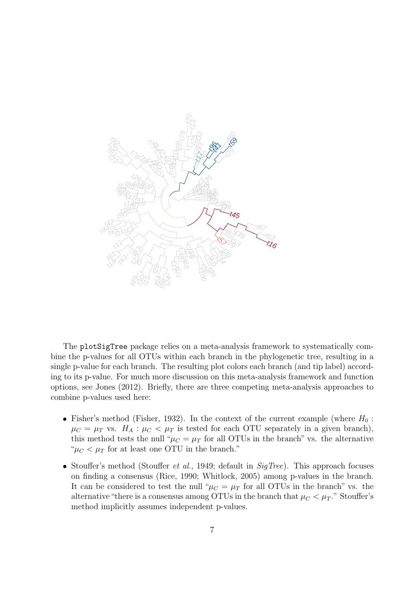

The plotSigTree package relies on a meta-analysis framework to systematically combine the p-values for all OTUs within each branch in the phylogenetic tree, resulting in a single p-value for each branch. The resulting plot colors each branch (and tip label) according to its p-value. For much more discussion on this meta-analysis framework and function options, see Jones (2012). Briefly, there are three competing meta-analysis approaches to combine p-values used here:

- Fisher's method (Fisher, 1932). In the context of the current example (where  $H_0$ :  $\mu_C = \mu_T$  vs.  $H_A: \mu_C < \mu_T$  is tested for each OTU separately in a given branch), this method tests the null " $\mu_C = \mu_T$  for all OTUs in the branch" vs. the alternative " $\mu_C < \mu_T$  for at least one OTU in the branch."
- Stouffer's method (Stouffer *et al.*, 1949; default in  $SigTree$ ). This approach focuses on finding a consensus (Rice, 1990; Whitlock, 2005) among p-values in the branch. It can be considered to test the null " $\mu_C = \mu_T$  for all OTUs in the branch" vs. the alternative "there is a consensus among OTUs in the branch that  $\mu_C < \mu_T$ ." Stouffer's method implicitly assumes independent p-values.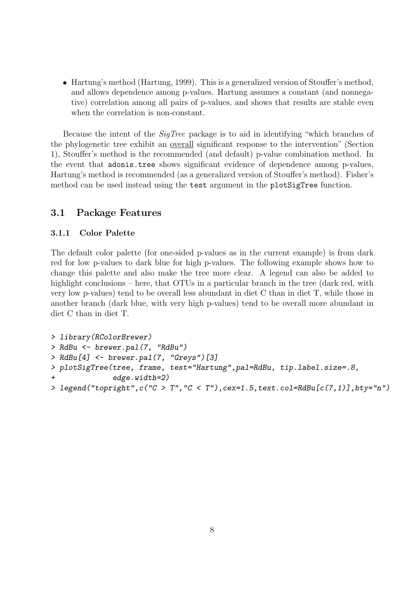Hartung's method (Hartung, 1999). This is a generalized version of Stouffer's method, and allows dependence among p-values. Hartung assumes a constant (and nonnegative) correlation among all pairs of p-values, and shows that results are stable even when the correlation is non-constant.

Because the intent of the SigTree package is to aid in identifying "which branches of the phylogenetic tree exhibit an overall significant response to the intervention" (Section 1), Stouffer's method is the recommended (and default) p-value combination method. In the event that adonis.tree shows significant evidence of dependence among p-values, Hartung's method is recommended (as a generalized version of Stouffer's method). Fisher's method can be used instead using the test argument in the plotSigTree function.

## 3.1 Package Features

#### 3.1.1 Color Palette

The default color palette (for one-sided p-values as in the current example) is from dark red for low p-values to dark blue for high p-values. The following example shows how to change this palette and also make the tree more clear. A legend can also be added to highlight conclusions – here, that OTUs in a particular branch in the tree (dark red, with very low p-values) tend to be overall less abundant in diet C than in diet T, while those in another branch (dark blue, with very high p-values) tend to be overall more abundant in diet C than in diet T.

```
> library(RColorBrewer)
> RdBu <- brewer.pal(7, "RdBu")
> RdBu[4] <- brewer.pal(7, "Greys")[3]
> plotSigTree(tree, frame, test="Hartung",pal=RdBu, tip.label.size=.8,
              edge.util = 2)> legend("topright",c("C > T","C < T"),cex=1.5,text.col=RdBu[c(7,1)],bty="n")
```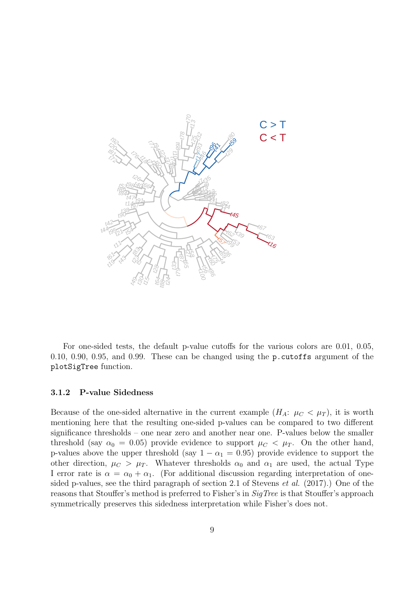

For one-sided tests, the default p-value cutoffs for the various colors are 0.01, 0.05, 0.10, 0.90, 0.95, and 0.99. These can be changed using the p.cutoffs argument of the plotSigTree function.

#### 3.1.2 P-value Sidedness

Because of the one-sided alternative in the current example  $(H_A: \mu_C < \mu_T)$ , it is worth mentioning here that the resulting one-sided p-values can be compared to two different significance thresholds – one near zero and another near one. P-values below the smaller threshold (say  $\alpha_0 = 0.05$ ) provide evidence to support  $\mu_C < \mu_T$ . On the other hand, p-values above the upper threshold (say  $1 - \alpha_1 = 0.95$ ) provide evidence to support the other direction,  $\mu_C > \mu_T$ . Whatever thresholds  $\alpha_0$  and  $\alpha_1$  are used, the actual Type I error rate is  $\alpha = \alpha_0 + \alpha_1$ . (For additional discussion regarding interpretation of onesided p-values, see the third paragraph of section 2.1 of Stevens et al. (2017).) One of the reasons that Stouffer's method is preferred to Fisher's in *SigTree* is that Stouffer's approach symmetrically preserves this sidedness interpretation while Fisher's does not.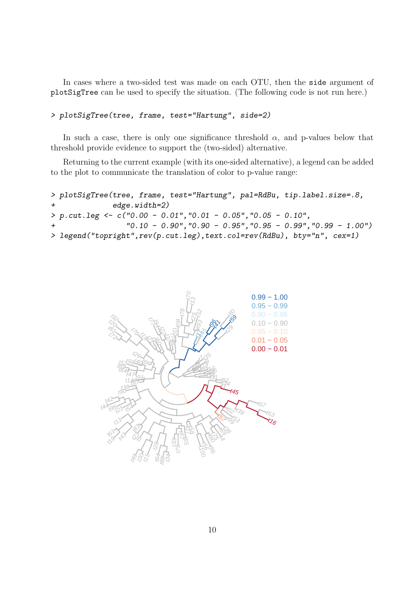In cases where a two-sided test was made on each OTU, then the side argument of plotSigTree can be used to specify the situation. (The following code is not run here.)

```
> plotSigTree(tree, frame, test="Hartung", side=2)
```
In such a case, there is only one significance threshold  $\alpha$ , and p-values below that threshold provide evidence to support the (two-sided) alternative.

Returning to the current example (with its one-sided alternative), a legend can be added to the plot to communicate the translation of color to p-value range:

```
> plotSigTree(tree, frame, test="Hartung", pal=RdBu, tip.label.size=.8,
              edge.width=2)
> p.cut.leg <- c("0.00 - 0.01","0.01 - 0.05","0.05 - 0.10",
                 "0.10 - 0.90", "0.90 - 0.95", "0.95 - 0.99", "0.99 - 1.00"> legend("topright",rev(p.cut.leg),text.col=rev(RdBu), bty="n", cex=1)
```
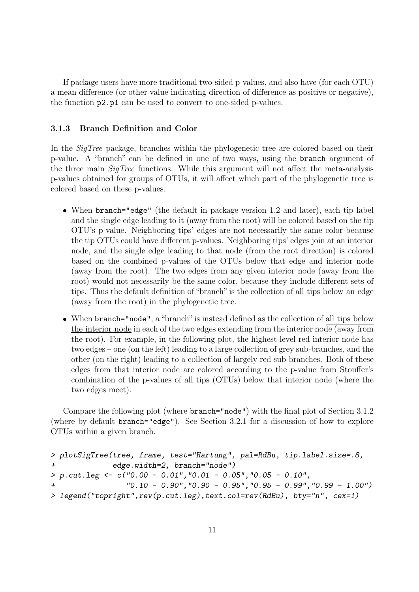If package users have more traditional two-sided p-values, and also have (for each OTU) a mean difference (or other value indicating direction of difference as positive or negative), the function p2.p1 can be used to convert to one-sided p-values.

#### 3.1.3 Branch Definition and Color

In the *SigTree* package, branches within the phylogenetic tree are colored based on their p-value. A "branch" can be defined in one of two ways, using the branch argument of the three main SigTree functions. While this argument will not affect the meta-analysis p-values obtained for groups of OTUs, it will affect which part of the phylogenetic tree is colored based on these p-values.

- When branch="edge" (the default in package version 1.2 and later), each tip label and the single edge leading to it (away from the root) will be colored based on the tip OTU's p-value. Neighboring tips' edges are not necessarily the same color because the tip OTUs could have different p-values. Neighboring tips' edges join at an interior node, and the single edge leading to that node (from the root direction) is colored based on the combined p-values of the OTUs below that edge and interior node (away from the root). The two edges from any given interior node (away from the root) would not necessarily be the same color, because they include different sets of tips. Thus the default definition of "branch" is the collection of all tips below an edge (away from the root) in the phylogenetic tree.
- When branch="node", a "branch" is instead defined as the collection of all tips below the interior node in each of the two edges extending from the interior node (away from the root). For example, in the following plot, the highest-level red interior node has two edges – one (on the left) leading to a large collection of grey sub-branches, and the other (on the right) leading to a collection of largely red sub-branches. Both of these edges from that interior node are colored according to the p-value from Stouffer's combination of the p-values of all tips (OTUs) below that interior node (where the two edges meet).

Compare the following plot (where branch="node") with the final plot of Section 3.1.2 (where by default branch="edge"). See Section 3.2.1 for a discussion of how to explore OTUs within a given branch.

```
> plotSigTree(tree, frame, test="Hartung", pal=RdBu, tip.label.size=.8,
              edge.width=2, branch="node")
> p.cut.leg <- c("0.00 - 0.01","0.01 - 0.05","0.05 - 0.10",
                 "0.10 - 0.90", "0.90 - 0.95", "0.95 - 0.99", "0.99 - 1.00"> legend("topright",rev(p.cut.leg),text.col=rev(RdBu), bty="n", cex=1)
```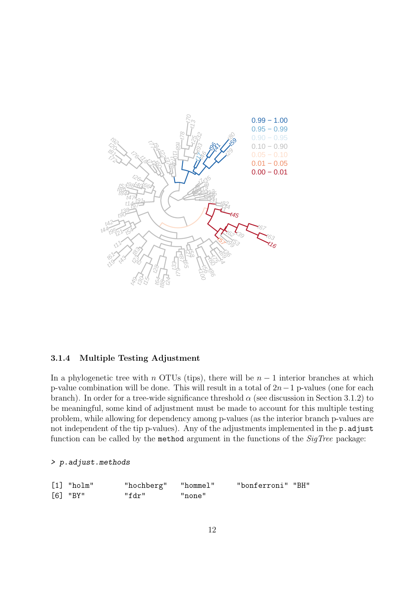

#### 3.1.4 Multiple Testing Adjustment

In a phylogenetic tree with n OTUs (tips), there will be  $n-1$  interior branches at which p-value combination will be done. This will result in a total of  $2n-1$  p-values (one for each branch). In order for a tree-wide significance threshold  $\alpha$  (see discussion in Section 3.1.2) to be meaningful, some kind of adjustment must be made to account for this multiple testing problem, while allowing for dependency among p-values (as the interior branch p-values are not independent of the tip p-values). Any of the adjustments implemented in the p. adjust function can be called by the method argument in the functions of the  $\textit{SigTree}$  package:

#### > p.adjust.methods

| $[1]$ "holm" | "hochberg" "hommel" |        | "bonferroni" "BH" |  |
|--------------|---------------------|--------|-------------------|--|
| $[6]$ "BY"   | "fdr"               | "none" |                   |  |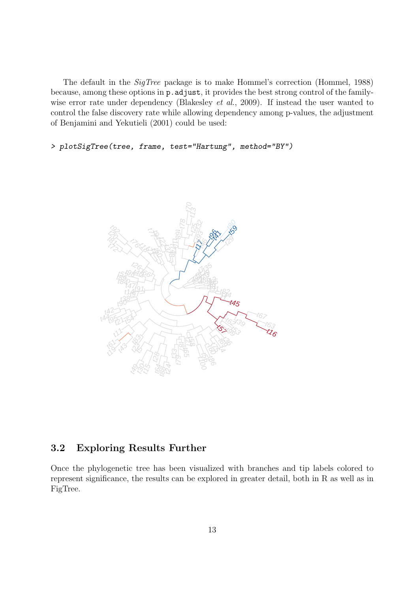The default in the *SigTree* package is to make Hommel's correction (Hommel, 1988) because, among these options in p.adjust, it provides the best strong control of the familywise error rate under dependency (Blakesley *et al.*, 2009). If instead the user wanted to control the false discovery rate while allowing dependency among p-values, the adjustment of Benjamini and Yekutieli (2001) could be used:

> plotSigTree(tree, frame, test="Hartung", method="BY")



## 3.2 Exploring Results Further

Once the phylogenetic tree has been visualized with branches and tip labels colored to represent significance, the results can be explored in greater detail, both in R as well as in FigTree.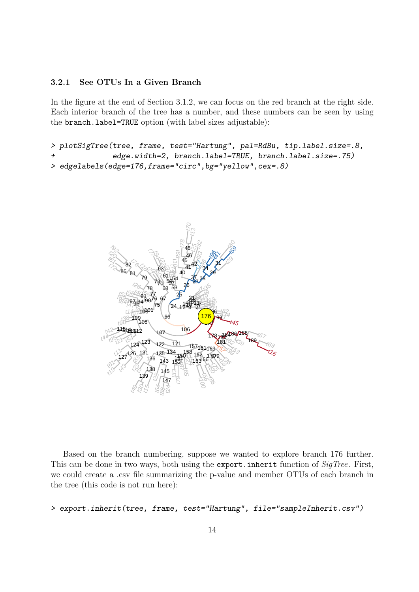### 3.2.1 See OTUs In a Given Branch

In the figure at the end of Section 3.1.2, we can focus on the red branch at the right side. Each interior branch of the tree has a number, and these numbers can be seen by using the branch.label=TRUE option (with label sizes adjustable):

```
> plotSigTree(tree, frame, test="Hartung", pal=RdBu, tip.label.size=.8,
              edge.width=2, branch.label=TRUE, branch.label.size=.75)
> edgelabels(edge=176,frame="circ",bg="yellow",cex=.8)
```


Based on the branch numbering, suppose we wanted to explore branch 176 further. This can be done in two ways, both using the export. inherit function of SigTree. First, we could create a .csv file summarizing the p-value and member OTUs of each branch in the tree (this code is not run here):

```
> export.inherit(tree, frame, test="Hartung", file="sampleInherit.csv")
```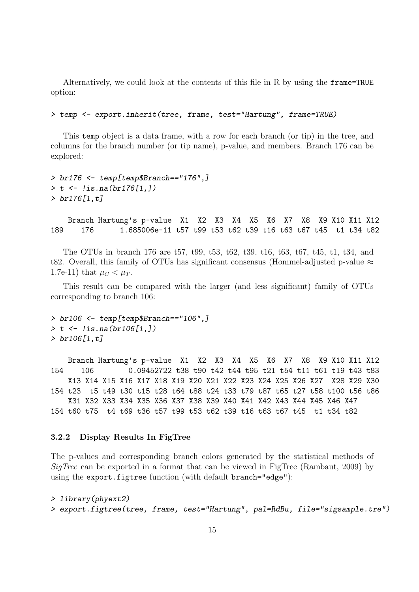Alternatively, we could look at the contents of this file in R by using the frame=TRUE option:

> temp <- export.inherit(tree, frame, test="Hartung", frame=TRUE)

This temp object is a data frame, with a row for each branch (or tip) in the tree, and columns for the branch number (or tip name), p-value, and members. Branch 176 can be explored:

```
> br176 <- temp[temp$Branch=="176",]
> t <- !is.na(br176[1,])
> br176[1,t]
```
Branch Hartung's p-value X1 X2 X3 X4 X5 X6 X7 X8 X9 X10 X11 X12 189 176 1.685006e-11 t57 t99 t53 t62 t39 t16 t63 t67 t45 t1 t34 t82

The OTUs in branch 176 are t57, t99, t53, t62, t39, t16, t63, t67, t45, t1, t34, and t82. Overall, this family of OTUs has significant consensus (Hommel-adjusted p-value  $\approx$ 1.7e-11) that  $\mu_C < \mu_T$ .

This result can be compared with the larger (and less significant) family of OTUs corresponding to branch 106:

```
> br106 <- temp[temp$Branch=="106",]
> t < -!is.na(br106[1,])
> br106[1,t]
```
Branch Hartung's p-value X1 X2 X3 X4 X5 X6 X7 X8 X9 X10 X11 X12 154 106 0.09452722 t38 t90 t42 t44 t95 t21 t54 t11 t61 t19 t43 t83 X13 X14 X15 X16 X17 X18 X19 X20 X21 X22 X23 X24 X25 X26 X27 X28 X29 X30 154 t23 t5 t49 t30 t15 t28 t64 t88 t24 t33 t79 t87 t65 t27 t58 t100 t56 t86 X31 X32 X33 X34 X35 X36 X37 X38 X39 X40 X41 X42 X43 X44 X45 X46 X47 154 t60 t75 t4 t69 t36 t57 t99 t53 t62 t39 t16 t63 t67 t45 t1 t34 t82

#### 3.2.2 Display Results In FigTree

The p-values and corresponding branch colors generated by the statistical methods of SigTree can be exported in a format that can be viewed in FigTree (Rambaut, 2009) by using the export.figtree function (with default branch="edge"):

```
> library(phyext2)
```

```
> export.figtree(tree, frame, test="Hartung", pal=RdBu, file="sigsample.tre")
```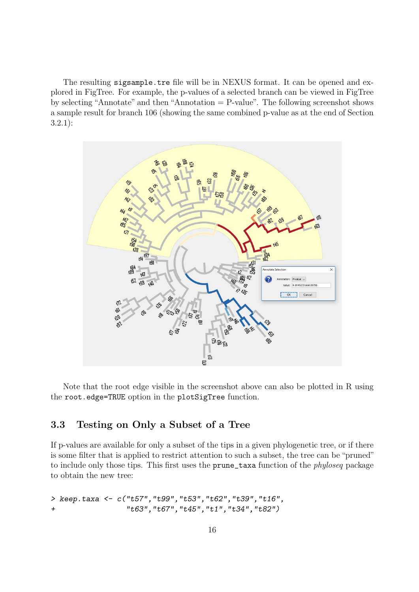The resulting sigsample.tre file will be in NEXUS format. It can be opened and explored in FigTree. For example, the p-values of a selected branch can be viewed in FigTree by selecting "Annotate" and then "Annotation = P-value". The following screenshot shows a sample result for branch 106 (showing the same combined p-value as at the end of Section 3.2.1):



Note that the root edge visible in the screenshot above can also be plotted in R using the root.edge=TRUE option in the plotSigTree function.

## 3.3 Testing on Only a Subset of a Tree

If p-values are available for only a subset of the tips in a given phylogenetic tree, or if there is some filter that is applied to restrict attention to such a subset, the tree can be "pruned" to include only those tips. This first uses the prune\_taxa function of the phyloseq package to obtain the new tree:

```
> keep.taxa <- c("t57","t99","t53","t62","t39","t16",
+ "t63","t67","t45","t1","t34","t82")
```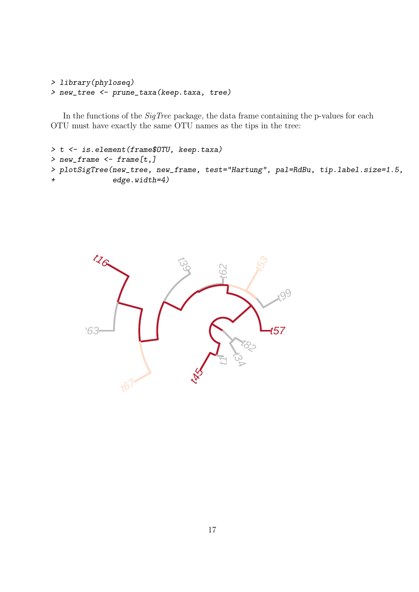```
> library(phyloseq)
> new_tree <- prune_taxa(keep.taxa, tree)
```
In the functions of the *SigTree* package, the data frame containing the p-values for each OTU must have exactly the same OTU names as the tips in the tree:

```
> t <- is.element(frame$OTU, keep.taxa)
> new_frame <- frame[t,]
> plotSigTree(new_tree, new_frame, test="Hartung", pal=RdBu, tip.label.size=1.5,
+ edge.width=4)
```
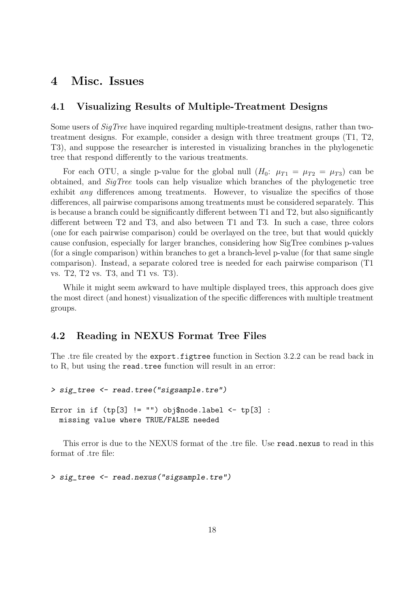## 4 Misc. Issues

### 4.1 Visualizing Results of Multiple-Treatment Designs

Some users of SigTree have inquired regarding multiple-treatment designs, rather than twotreatment designs. For example, consider a design with three treatment groups (T1, T2, T3), and suppose the researcher is interested in visualizing branches in the phylogenetic tree that respond differently to the various treatments.

For each OTU, a single p-value for the global null  $(H_0: \mu_{T1} = \mu_{T2} = \mu_{T3})$  can be obtained, and SigTree tools can help visualize which branches of the phylogenetic tree exhibit any differences among treatments. However, to visualize the specifics of those differences, all pairwise comparisons among treatments must be considered separately. This is because a branch could be significantly different between T1 and T2, but also significantly different between T2 and T3, and also between T1 and T3. In such a case, three colors (one for each pairwise comparison) could be overlayed on the tree, but that would quickly cause confusion, especially for larger branches, considering how SigTree combines p-values (for a single comparison) within branches to get a branch-level p-value (for that same single comparison). Instead, a separate colored tree is needed for each pairwise comparison (T1 vs. T2, T2 vs. T3, and T1 vs. T3).

While it might seem awkward to have multiple displayed trees, this approach does give the most direct (and honest) visualization of the specific differences with multiple treatment groups.

### 4.2 Reading in NEXUS Format Tree Files

The .tre file created by the export.figtree function in Section 3.2.2 can be read back in to R, but using the read.tree function will result in an error:

```
> sig_tree <- read.tree("sigsample.tre")
Error in if (tp[3] := "") obj$node.label <- tp[3] :
 missing value where TRUE/FALSE needed
```
This error is due to the NEXUS format of the .tre file. Use read.nexus to read in this format of .tre file:

> sig\_tree <- read.nexus("sigsample.tre")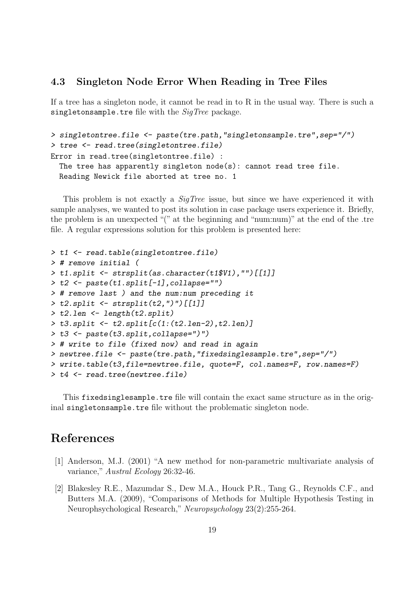### 4.3 Singleton Node Error When Reading in Tree Files

If a tree has a singleton node, it cannot be read in to R in the usual way. There is such a singletonsample.tre file with the  $SigTree$  package.

```
> singletontree.file <- paste(tre.path,"singletonsample.tre",sep="/")
> tree <- read.tree(singletontree.file)
Error in read.tree(singletontree.file) :
  The tree has apparently singleton node(s): cannot read tree file.
  Reading Newick file aborted at tree no. 1
```
This problem is not exactly a *SigTree* issue, but since we have experienced it with sample analyses, we wanted to post its solution in case package users experience it. Briefly, the problem is an unexpected "(" at the beginning and "num:num)" at the end of the .tre file. A regular expressions solution for this problem is presented here:

```
> t1 <- read.table(singletontree.file)
> # remove initial (
> t1.split <- strsplit(as.character(t1$V1),"")[[1]]
> t2 <- paste(t1.split[-1],collapse="")
> # remove last ) and the num:num preceding it
> t2.split <- strsplit(t2,")")[[1]]
> t2.len <- length(t2.split)
> t3.split <- t2.split[c(1:(t2.len-2),t2.len)]
> t3 <- paste(t3.split,collapse=")")
> # write to file (fixed now) and read in again
> newtree.file <- paste(tre.path,"fixedsinglesample.tre",sep="/")
> write.table(t3,file=newtree.file, quote=F, col.names=F, row.names=F)
> t4 < - read.tree(newtree.file)
```
This fixedsinglesample.tre file will contain the exact same structure as in the original singletonsample.tre file without the problematic singleton node.

## References

- [1] Anderson, M.J. (2001) "A new method for non-parametric multivariate analysis of variance," Austral Ecology 26:32-46.
- [2] Blakesley R.E., Mazumdar S., Dew M.A., Houck P.R., Tang G., Reynolds C.F., and Butters M.A. (2009), "Comparisons of Methods for Multiple Hypothesis Testing in Neurophsychological Research," Neuropsychology 23(2):255-264.